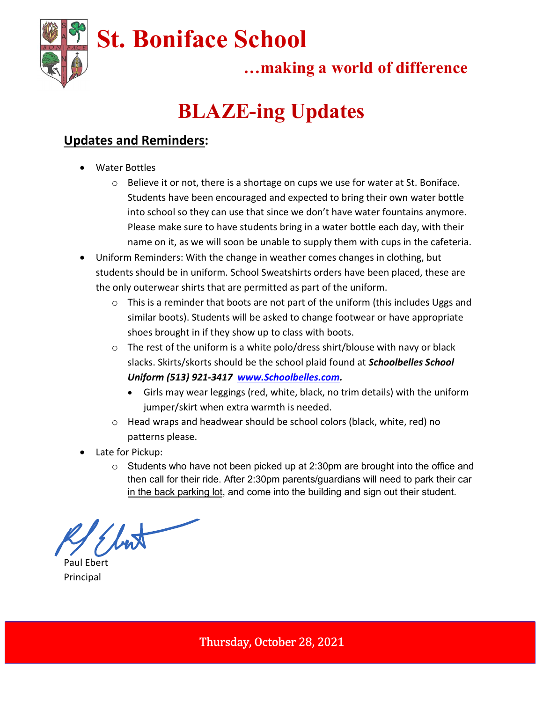

## …making a world of difference

# BLAZE-ing Updates

#### Updates and Reminders:

- Water Bottles
	- $\circ$  Believe it or not, there is a shortage on cups we use for water at St. Boniface. Students have been encouraged and expected to bring their own water bottle into school so they can use that since we don't have water fountains anymore. Please make sure to have students bring in a water bottle each day, with their name on it, as we will soon be unable to supply them with cups in the cafeteria.
- Uniform Reminders: With the change in weather comes changes in clothing, but students should be in uniform. School Sweatshirts orders have been placed, these are the only outerwear shirts that are permitted as part of the uniform.
	- o This is a reminder that boots are not part of the uniform (this includes Uggs and similar boots). Students will be asked to change footwear or have appropriate shoes brought in if they show up to class with boots.
	- $\circ$  The rest of the uniform is a white polo/dress shirt/blouse with navy or black slacks. Skirts/skorts should be the school plaid found at **Schoolbelles School** Uniform (513) 921-3417 www.Schoolbelles.com.
		- Girls may wear leggings (red, white, black, no trim details) with the uniform jumper/skirt when extra warmth is needed.
	- o Head wraps and headwear should be school colors (black, white, red) no patterns please.
- Late for Pickup:
	- $\circ$  Students who have not been picked up at 2:30pm are brought into the office and then call for their ride. After 2:30pm parents/guardians will need to park their car in the back parking lot, and come into the building and sign out their student.

Paul Ebert Principal